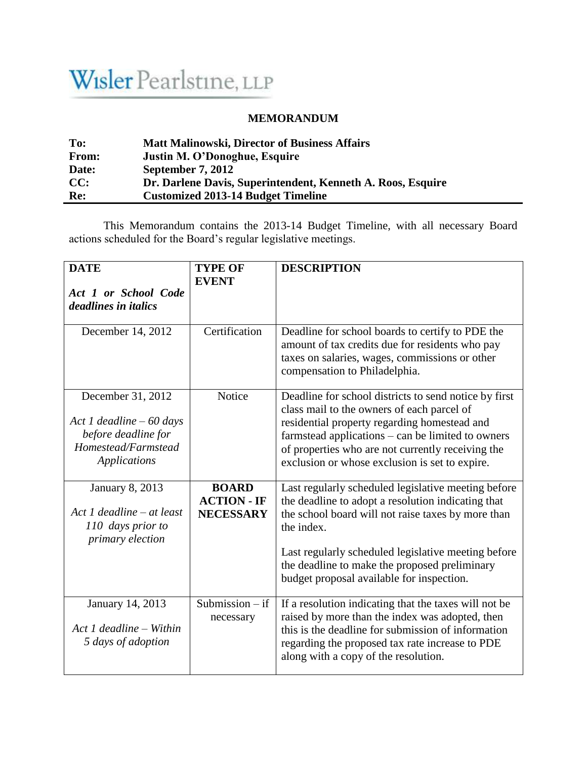## Wisler Pearlstine, LLP

## **MEMORANDUM**

| To:          | <b>Matt Malinowski, Director of Business Affairs</b>        |
|--------------|-------------------------------------------------------------|
| <b>From:</b> | Justin M. O'Donoghue, Esquire                               |
| Date:        | September 7, 2012                                           |
| CC:          | Dr. Darlene Davis, Superintendent, Kenneth A. Roos, Esquire |
| Re:          | <b>Customized 2013-14 Budget Timeline</b>                   |

This Memorandum contains the 2013-14 Budget Timeline, with all necessary Board actions scheduled for the Board's regular legislative meetings.

| <b>DATE</b><br>Act 1 or School Code<br><i>deadlines in italics</i>                                                  | <b>TYPE OF</b><br><b>EVENT</b>                         | <b>DESCRIPTION</b>                                                                                                                                                                                                                                                                                                                 |
|---------------------------------------------------------------------------------------------------------------------|--------------------------------------------------------|------------------------------------------------------------------------------------------------------------------------------------------------------------------------------------------------------------------------------------------------------------------------------------------------------------------------------------|
|                                                                                                                     |                                                        |                                                                                                                                                                                                                                                                                                                                    |
| December 14, 2012                                                                                                   | Certification                                          | Deadline for school boards to certify to PDE the<br>amount of tax credits due for residents who pay<br>taxes on salaries, wages, commissions or other<br>compensation to Philadelphia.                                                                                                                                             |
| December 31, 2012<br>Act 1 deadline $-60$ days<br>before deadline for<br>Homestead/Farmstead<br><b>Applications</b> | Notice                                                 | Deadline for school districts to send notice by first<br>class mail to the owners of each parcel of<br>residential property regarding homestead and<br>farmstead applications – can be limited to owners<br>of properties who are not currently receiving the<br>exclusion or whose exclusion is set to expire.                    |
| January 8, 2013<br>$Act$ 1 deadline – at least<br>110 days prior to<br>primary election                             | <b>BOARD</b><br><b>ACTION - IF</b><br><b>NECESSARY</b> | Last regularly scheduled legislative meeting before<br>the deadline to adopt a resolution indicating that<br>the school board will not raise taxes by more than<br>the index.<br>Last regularly scheduled legislative meeting before<br>the deadline to make the proposed preliminary<br>budget proposal available for inspection. |
| January 14, 2013<br>$Act$ 1 deadline – Within<br>5 days of adoption                                                 | Submission $-$ if<br>necessary                         | If a resolution indicating that the taxes will not be<br>raised by more than the index was adopted, then<br>this is the deadline for submission of information<br>regarding the proposed tax rate increase to PDE<br>along with a copy of the resolution.                                                                          |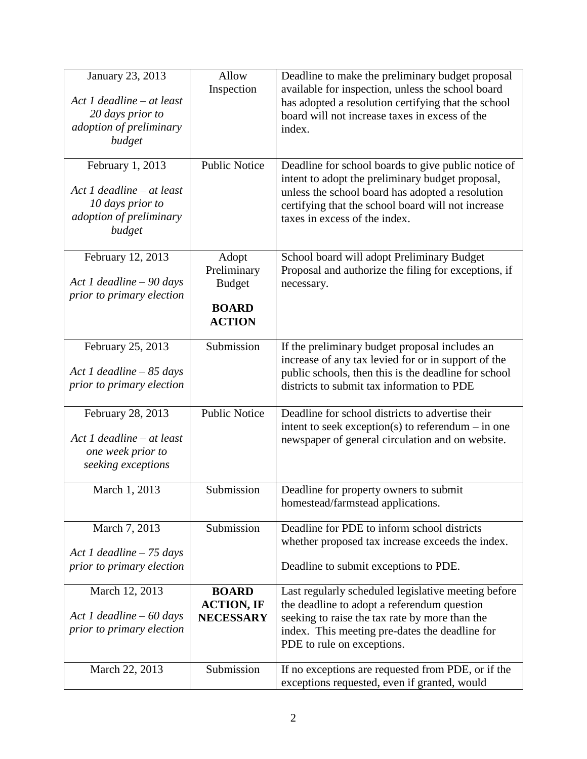| January 23, 2013<br>Act 1 deadline $-$ at least<br>20 days prior to<br>adoption of preliminary<br>budget | Allow<br>Inspection                                                    | Deadline to make the preliminary budget proposal<br>available for inspection, unless the school board<br>has adopted a resolution certifying that the school<br>board will not increase taxes in excess of the<br>index.                           |
|----------------------------------------------------------------------------------------------------------|------------------------------------------------------------------------|----------------------------------------------------------------------------------------------------------------------------------------------------------------------------------------------------------------------------------------------------|
| February 1, 2013<br>Act 1 deadline $-$ at least<br>10 days prior to<br>adoption of preliminary<br>budget | <b>Public Notice</b>                                                   | Deadline for school boards to give public notice of<br>intent to adopt the preliminary budget proposal,<br>unless the school board has adopted a resolution<br>certifying that the school board will not increase<br>taxes in excess of the index. |
| February 12, 2013<br>Act 1 deadline $-90$ days<br>prior to primary election                              | Adopt<br>Preliminary<br><b>Budget</b><br><b>BOARD</b><br><b>ACTION</b> | School board will adopt Preliminary Budget<br>Proposal and authorize the filing for exceptions, if<br>necessary.                                                                                                                                   |
| February 25, 2013<br>Act 1 deadline $-85$ days<br>prior to primary election                              | Submission                                                             | If the preliminary budget proposal includes an<br>increase of any tax levied for or in support of the<br>public schools, then this is the deadline for school<br>districts to submit tax information to PDE                                        |
| February 28, 2013<br>Act 1 deadline - at least<br>one week prior to<br>seeking exceptions                | <b>Public Notice</b>                                                   | Deadline for school districts to advertise their<br>intent to seek exception(s) to referendum $-$ in one<br>newspaper of general circulation and on website.                                                                                       |
| March 1, 2013                                                                                            | Submission                                                             | Deadline for property owners to submit<br>homestead/farmstead applications.                                                                                                                                                                        |
| March 7, 2013<br>Act 1 deadline $-75$ days<br>prior to primary election                                  | Submission                                                             | Deadline for PDE to inform school districts<br>whether proposed tax increase exceeds the index.<br>Deadline to submit exceptions to PDE.                                                                                                           |
| March 12, 2013<br>Act 1 deadline $-60$ days<br>prior to primary election                                 | <b>BOARD</b><br><b>ACTION, IF</b><br><b>NECESSARY</b>                  | Last regularly scheduled legislative meeting before<br>the deadline to adopt a referendum question<br>seeking to raise the tax rate by more than the<br>index. This meeting pre-dates the deadline for<br>PDE to rule on exceptions.               |
| March 22, 2013                                                                                           | Submission                                                             | If no exceptions are requested from PDE, or if the<br>exceptions requested, even if granted, would                                                                                                                                                 |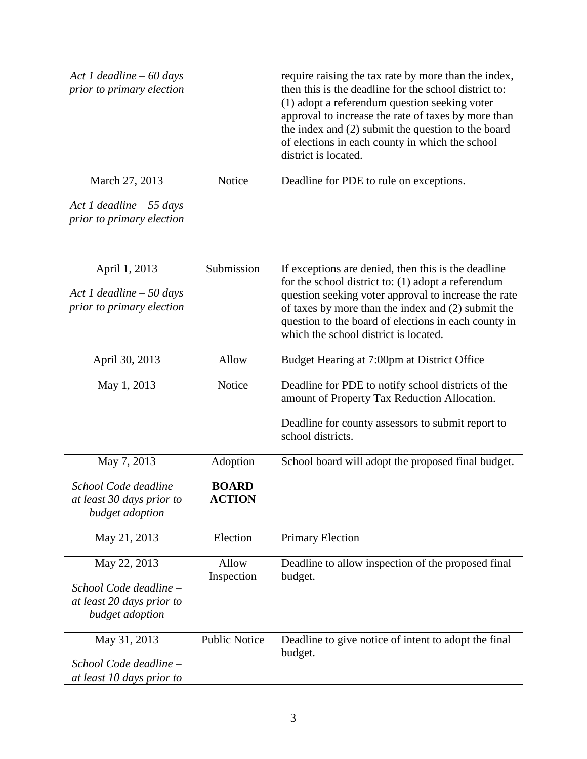| Act 1 deadline $-60$ days<br>prior to primary election<br>March 27, 2013               | Notice                                    | require raising the tax rate by more than the index,<br>then this is the deadline for the school district to:<br>(1) adopt a referendum question seeking voter<br>approval to increase the rate of taxes by more than<br>the index and (2) submit the question to the board<br>of elections in each county in which the school<br>district is located.<br>Deadline for PDE to rule on exceptions. |
|----------------------------------------------------------------------------------------|-------------------------------------------|---------------------------------------------------------------------------------------------------------------------------------------------------------------------------------------------------------------------------------------------------------------------------------------------------------------------------------------------------------------------------------------------------|
| Act 1 deadline $-55$ days<br>prior to primary election                                 |                                           |                                                                                                                                                                                                                                                                                                                                                                                                   |
| April 1, 2013<br>Act 1 deadline $-50$ days<br>prior to primary election                | Submission                                | If exceptions are denied, then this is the deadline<br>for the school district to: (1) adopt a referendum<br>question seeking voter approval to increase the rate<br>of taxes by more than the index and (2) submit the<br>question to the board of elections in each county in<br>which the school district is located.                                                                          |
| April 30, 2013                                                                         | Allow                                     | Budget Hearing at 7:00pm at District Office                                                                                                                                                                                                                                                                                                                                                       |
| May 1, 2013                                                                            | Notice                                    | Deadline for PDE to notify school districts of the<br>amount of Property Tax Reduction Allocation.<br>Deadline for county assessors to submit report to<br>school districts.                                                                                                                                                                                                                      |
| May 7, 2013<br>School Code deadline -<br>at least 30 days prior to<br>budget adoption  | Adoption<br><b>BOARD</b><br><b>ACTION</b> | School board will adopt the proposed final budget.                                                                                                                                                                                                                                                                                                                                                |
| May 21, 2013                                                                           | Election                                  | <b>Primary Election</b>                                                                                                                                                                                                                                                                                                                                                                           |
| May 22, 2013<br>School Code deadline -<br>at least 20 days prior to<br>budget adoption | Allow<br>Inspection                       | Deadline to allow inspection of the proposed final<br>budget.                                                                                                                                                                                                                                                                                                                                     |
| May 31, 2013<br>School Code deadline -<br>at least 10 days prior to                    | <b>Public Notice</b>                      | Deadline to give notice of intent to adopt the final<br>budget.                                                                                                                                                                                                                                                                                                                                   |